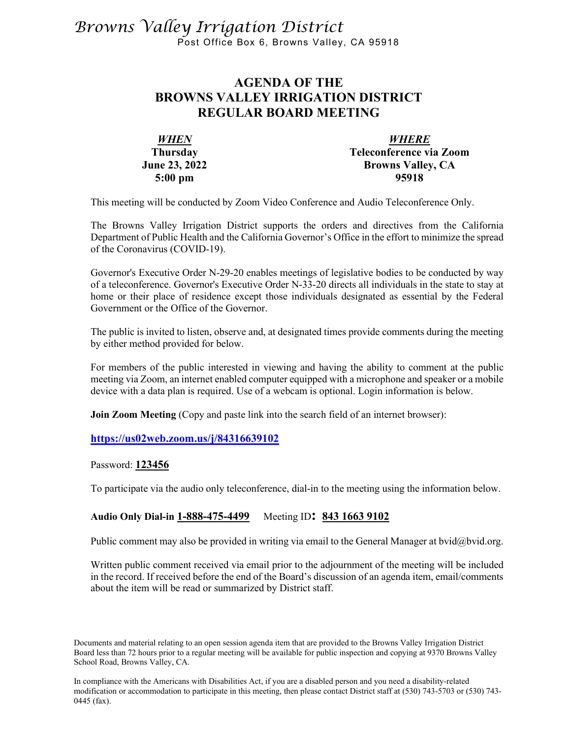# *Browns Valley Irrigation District* Post Office Box 6, Browns Valley, CA 95918

# **AGENDA OF THE BROWNS VALLEY IRRIGATION DISTRICT REGULAR BOARD MEETING**

| <b>WHEN</b>          | <b>WHERE</b>             |
|----------------------|--------------------------|
| <b>Thursday</b>      | Teleconference via Zoom  |
| <b>June 23, 2022</b> | <b>Browns Valley, CA</b> |
| $5:00$ pm            | 95918                    |

This meeting will be conducted by Zoom Video Conference and Audio Teleconference Only.

The Browns Valley Irrigation District supports the orders and directives from the California Department of Public Health and the California Governor's Office in the effort to minimize the spread of the Coronavirus (COVID-19).

Governor's Executive Order N-29-20 enables meetings of legislative bodies to be conducted by way of a teleconference. Governor's Executive Order N-33-20 directs all individuals in the state to stay at home or their place of residence except those individuals designated as essential by the Federal Government or the Office of the Governor.

The public is invited to listen, observe and, at designated times provide comments during the meeting by either method provided for below.

For members of the public interested in viewing and having the ability to comment at the public meeting via Zoom, an internet enabled computer equipped with a microphone and speaker or a mobile device with a data plan is required. Use of a webcam is optional. Login information is below.

**Join Zoom Meeting** (Copy and paste link into the search field of an internet browser):

#### **<https://us02web.zoom.us/j/84316639102>**

Password: **123456**

To participate via the audio only teleconference, dial-in to the meeting using the information below.

#### **Audio Only Dial-in 1-888-475-4499** Meeting ID**: 843 1663 9102**

Public comment may also be provided in writing via email to the General Manager at bvid@bvid.org.

Written public comment received via email prior to the adjournment of the meeting will be included in the record. If received before the end of the Board's discussion of an agenda item, email/comments about the item will be read or summarized by District staff.

Documents and material relating to an open session agenda item that are provided to the Browns Valley Irrigation District Board less than 72 hours prior to a regular meeting will be available for public inspection and copying at 9370 Browns Valley School Road, Browns Valley, CA.

In compliance with the Americans with Disabilities Act, if you are a disabled person and you need a disability-related modification or accommodation to participate in this meeting, then please contact District staff at (530) 743-5703 or (530) 743- 0445 (fax).